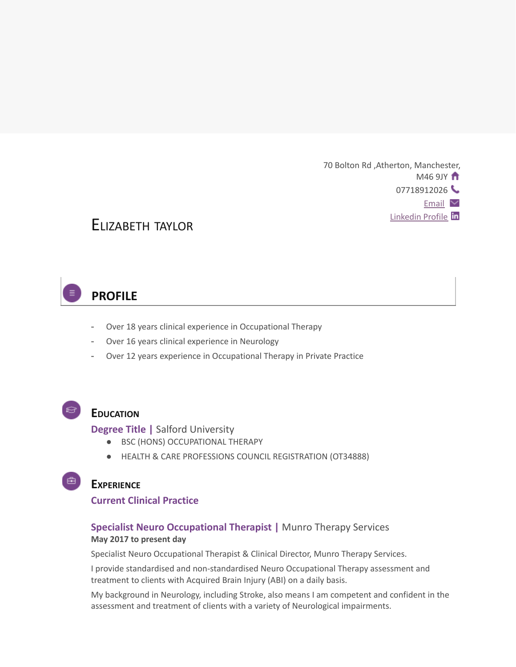70 Bolton Rd ,Atherton, Manchester,  $M469JY$ 07718912026 [Email](mailto:liz@otconsult.co.uk) Y [Linkedin](https://www.linkedin.com/in/liz-taylor-245b19a6/) Profile in

# ELIZABETH TAYLOR

# **PROFILE**

- Over 18 years clinical experience in Occupational Therapy
- Over 16 years clinical experience in Neurology
- Over 12 years experience in Occupational Therapy in Private Practice

## **EDUCATION**

**Degree Title |** Salford University

- BSC (HONS) OCCUPATIONAL THERAPY
- HEALTH & CARE PROFESSIONS COUNCIL REGISTRATION (OT34888)

## **EXPERIENCE**

#### **Current Clinical Practice**

#### **Specialist Neuro Occupational Therapist |** Munro Therapy Services **May 2017 to present day**

Specialist Neuro Occupational Therapist & Clinical Director, Munro Therapy Services.

I provide standardised and non-standardised Neuro Occupational Therapy assessment and treatment to clients with Acquired Brain Injury (ABI) on a daily basis.

My background in Neurology, including Stroke, also means I am competent and confident in the assessment and treatment of clients with a variety of Neurological impairments.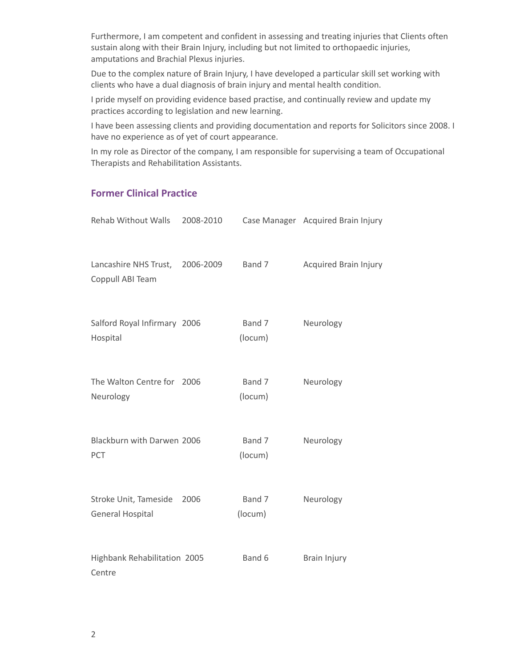Furthermore, I am competent and confident in assessing and treating injuries that Clients often sustain along with their Brain Injury, including but not limited to orthopaedic injuries, amputations and Brachial Plexus injuries.

Due to the complex nature of Brain Injury, I have developed a particular skill set working with clients who have a dual diagnosis of brain injury and mental health condition.

I pride myself on providing evidence based practise, and continually review and update my practices according to legislation and new learning.

I have been assessing clients and providing documentation and reports for Solicitors since 2008. I have no experience as of yet of court appearance.

In my role as Director of the company, I am responsible for supervising a team of Occupational Therapists and Rehabilitation Assistants.

#### **Former Clinical Practice**

| <b>Rehab Without Walls</b>                       | 2008-2010 |                   | Case Manager Acquired Brain Injury |
|--------------------------------------------------|-----------|-------------------|------------------------------------|
| Lancashire NHS Trust,<br>Coppull ABI Team        | 2006-2009 | Band 7            | <b>Acquired Brain Injury</b>       |
| Salford Royal Infirmary 2006<br>Hospital         |           | Band 7<br>(locum) | Neurology                          |
| The Walton Centre for<br>Neurology               | 2006      | Band 7<br>(locum) | Neurology                          |
| Blackburn with Darwen 2006<br>PCT                |           | Band 7<br>(locum) | Neurology                          |
| Stroke Unit, Tameside<br><b>General Hospital</b> | 2006      | Band 7<br>(locum) | Neurology                          |
| Highbank Rehabilitation 2005<br>Centre           |           | Band 6            | Brain Injury                       |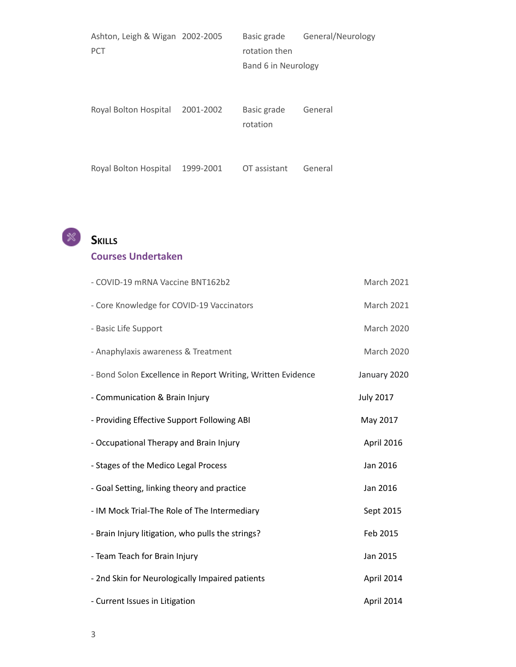| Ashton, Leigh & Wigan 2002-2005 |           | Basic grade         | General/Neurology |
|---------------------------------|-----------|---------------------|-------------------|
| <b>PCT</b>                      |           | rotation then       |                   |
|                                 |           | Band 6 in Neurology |                   |
|                                 |           |                     |                   |
|                                 |           |                     |                   |
| Royal Bolton Hospital           | 2001-2002 | Basic grade         | General           |
|                                 |           | rotation            |                   |
|                                 |           |                     |                   |
|                                 |           |                     |                   |
| Royal Bolton Hospital           | 1999-2001 | OT assistant        | General           |



# **SKILLS**

## **Courses Undertaken**

| - COVID-19 mRNA Vaccine BNT162b2                            | <b>March 2021</b> |
|-------------------------------------------------------------|-------------------|
| - Core Knowledge for COVID-19 Vaccinators                   | <b>March 2021</b> |
| - Basic Life Support                                        | March 2020        |
| - Anaphylaxis awareness & Treatment                         | March 2020        |
| - Bond Solon Excellence in Report Writing, Written Evidence | January 2020      |
| - Communication & Brain Injury                              | <b>July 2017</b>  |
| - Providing Effective Support Following ABI                 | May 2017          |
| - Occupational Therapy and Brain Injury                     | April 2016        |
| - Stages of the Medico Legal Process                        | Jan 2016          |
| - Goal Setting, linking theory and practice                 | Jan 2016          |
| - IM Mock Trial-The Role of The Intermediary                | Sept 2015         |
| - Brain Injury litigation, who pulls the strings?           | Feb 2015          |
| - Team Teach for Brain Injury                               | Jan 2015          |
| - 2nd Skin for Neurologically Impaired patients             | April 2014        |
| - Current Issues in Litigation                              | April 2014        |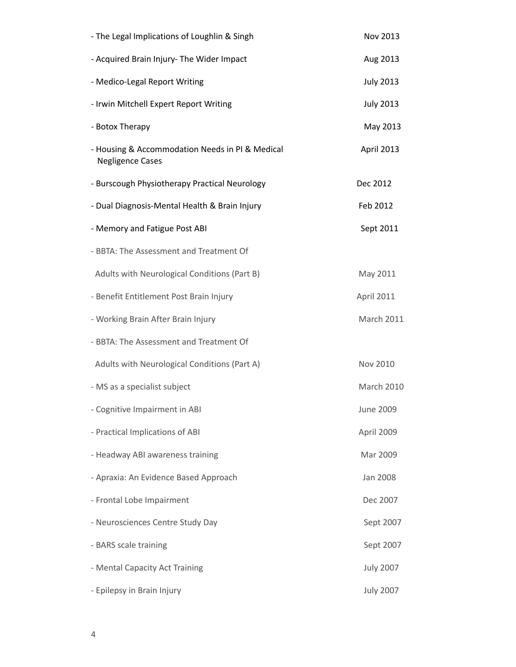| - The Legal Implications of Loughlin & Singh                               | Nov 2013          |
|----------------------------------------------------------------------------|-------------------|
| - Acquired Brain Injury- The Wider Impact                                  | Aug 2013          |
| - Medico-Legal Report Writing                                              | <b>July 2013</b>  |
| - Irwin Mitchell Expert Report Writing                                     | <b>July 2013</b>  |
| - Botox Therapy                                                            | May 2013          |
| - Housing & Accommodation Needs in PI & Medical<br><b>Negligence Cases</b> | April 2013        |
| - Burscough Physiotherapy Practical Neurology                              | Dec 2012          |
| - Dual Diagnosis-Mental Health & Brain Injury                              | Feb 2012          |
| - Memory and Fatigue Post ABI                                              | Sept 2011         |
| - BBTA: The Assessment and Treatment Of                                    |                   |
| Adults with Neurological Conditions (Part B)                               | May 2011          |
| - Benefit Entitlement Post Brain Injury                                    | <b>April 2011</b> |
| - Working Brain After Brain Injury                                         | <b>March 2011</b> |
| - BBTA: The Assessment and Treatment Of                                    |                   |
| Adults with Neurological Conditions (Part A)                               | Nov 2010          |
| - MS as a specialist subject                                               | <b>March 2010</b> |
| - Cognitive Impairment in ABI                                              | <b>June 2009</b>  |
| - Practical Implications of ABI                                            | April 2009        |
| - Headway ABI awareness training                                           | Mar 2009          |
| - Apraxia: An Evidence Based Approach                                      | <b>Jan 2008</b>   |
| - Frontal Lobe Impairment                                                  | Dec 2007          |
| - Neurosciences Centre Study Day                                           | Sept 2007         |
| - BARS scale training                                                      | Sept 2007         |
| - Mental Capacity Act Training                                             | <b>July 2007</b>  |
| - Epilepsy in Brain Injury                                                 | <b>July 2007</b>  |